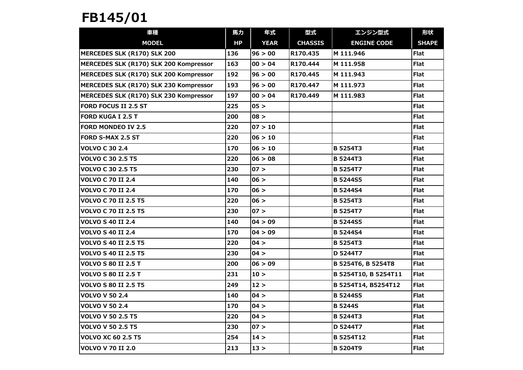## FB145/01

| 車種                                     | 馬力  | 年式          | 型式             | エンジン型式               | 形状           |
|----------------------------------------|-----|-------------|----------------|----------------------|--------------|
| <b>MODEL</b>                           | HP  | <b>YEAR</b> | <b>CHASSIS</b> | <b>ENGINE CODE</b>   | <b>SHAPE</b> |
| MERCEDES SLK (R170) SLK 200            | 136 | 96 > 00     | R170.435       | M 111.946            | <b>Flat</b>  |
| MERCEDES SLK (R170) SLK 200 Kompressor | 163 | 00 > 04     | R170.444       | M 111.958            | <b>Flat</b>  |
| MERCEDES SLK (R170) SLK 200 Kompressor | 192 | 96 > 00     | R170.445       | M 111.943            | <b>Flat</b>  |
| MERCEDES SLK (R170) SLK 230 Kompressor | 193 | 96 > 00     | R170.447       | M 111.973            | <b>Flat</b>  |
| MERCEDES SLK (R170) SLK 230 Kompressor | 197 | 00 > 04     | R170.449       | M 111.983            | <b>Flat</b>  |
| <b>FORD FOCUS II 2.5 ST</b>            | 225 | 05 >        |                |                      | <b>Flat</b>  |
| <b>FORD KUGA I 2.5 T</b>               | 200 | 08 >        |                |                      | <b>Flat</b>  |
| <b>FORD MONDEO IV 2.5</b>              | 220 | 07 > 10     |                |                      | <b>Flat</b>  |
| <b>FORD S-MAX 2.5 ST</b>               | 220 | 06 > 10     |                |                      | <b>Flat</b>  |
| <b>VOLVO C 30 2.4</b>                  | 170 | 06 > 10     |                | <b>B 5254T3</b>      | <b>Flat</b>  |
| <b>VOLVO C 30 2.5 T5</b>               | 220 | 06 > 08     |                | <b>B 5244T3</b>      | <b>Flat</b>  |
| <b>VOLVO C 30 2.5 T5</b>               | 230 | 07 >        |                | <b>B 5254T7</b>      | Flat         |
| <b>VOLVO C 70 II 2.4</b>               | 140 | 06 >        |                | <b>B</b> 5244S5      | <b>Flat</b>  |
| <b>VOLVO C 70 II 2.4</b>               | 170 | 06 >        |                | <b>B</b> 5244S4      | <b>Flat</b>  |
| <b>VOLVO C 70 II 2.5 T5</b>            | 220 | 06 >        |                | <b>B 5254T3</b>      | <b>Flat</b>  |
| <b>VOLVO C 70 II 2.5 T5</b>            | 230 | 07 >        |                | <b>B 5254T7</b>      | <b>Flat</b>  |
| <b>VOLVO S 40 II 2.4</b>               | 140 | 04 > 09     |                | <b>B</b> 5244S5      | <b>Flat</b>  |
| <b>VOLVO S 40 II 2.4</b>               | 170 | 04 > 09     |                | <b>B</b> 5244S4      | <b>Flat</b>  |
| <b>VOLVO S 40 II 2.5 T5</b>            | 220 | 04 >        |                | <b>B 5254T3</b>      | <b>Flat</b>  |
| <b>VOLVO S 40 II 2.5 T5</b>            | 230 | 04 >        |                | D 5244T7             | <b>Flat</b>  |
| <b>VOLVO S 80 II 2.5 T</b>             | 200 | 06 > 09     |                | B 5254T6, B 5254T8   | <b>Flat</b>  |
| <b>VOLVO S 80 II 2.5 T</b>             | 231 | 10 >        |                | B 5254T10, B 5254T11 | Flat         |
| <b>VOLVO S 80 II 2.5 T5</b>            | 249 | 12 >        |                | B 5254T14, B5254T12  | <b>Flat</b>  |
| <b>VOLVO V 50 2.4</b>                  | 140 | 04 >        |                | <b>B 5244S5</b>      | <b>Flat</b>  |
| <b>VOLVO V 50 2.4</b>                  | 170 | 04 >        |                | <b>B</b> 5244S       | Flat         |
| <b>VOLVO V 50 2.5 T5</b>               | 220 | 04 >        |                | <b>B 5244T3</b>      | <b>Flat</b>  |
| <b>VOLVO V 50 2.5 T5</b>               | 230 | 07 >        |                | D 5244T7             | <b>Flat</b>  |
| <b>VOLVO XC 60 2.5 T5</b>              | 254 | 14 >        |                | <b>B 5254T12</b>     | <b>Flat</b>  |
| <b>VOLVO V 70 II 2.0</b>               | 213 | 13 >        |                | <b>B 5204T9</b>      | <b>Flat</b>  |